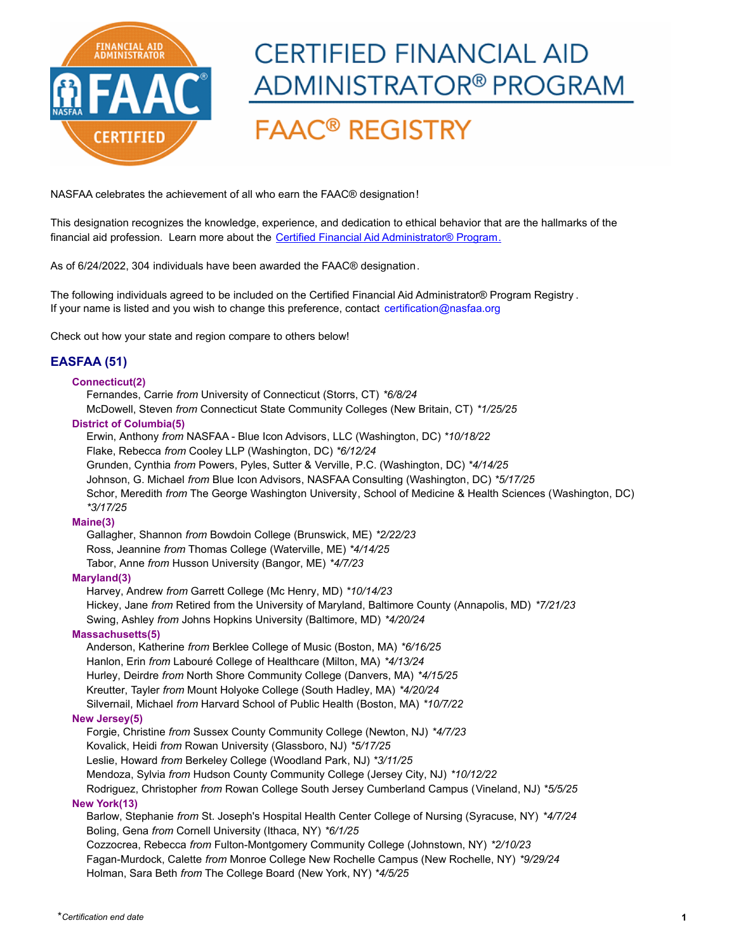

# **CERTIFIED FINANCIAL AID** ADMINISTRATOR® PROGRAM **FAAC<sup>®</sup> REGISTRY**

# NASFAA celebrates the achievement of all who earn the FAAC® designation!

[This designation recognizes the knowledge, experience, and dedication to ethical behavior that are the hallmarks of the](https://www.nasfaa.org/CFAA)  financial aid profession. Learn more about the Certified Financial Aid Administrator® Program.

As of 6/24/2022, 304 individuals have been awarded the FAAC® designation.

[The following individuals agreed to be included on the Certified Financial Aid Administrator® Program Registry](mailto:cfaa@nasfaa.org?subject=CFAA Inquiry) . If your name is listed and you wish to change this preference, contact certification@nasfaa.org

Check out how your state and region compare to others below!

# **EASFAA (51)**

## **Connecticut(2)**

Fernandes, Carrie *from* University of Connecticut (Storrs, CT) *\*6/8/24* McDowell, Steven *from* Connecticut State Community Colleges (New Britain, CT) *\*1/25/25* **District of Columbia(5)**

Erwin, Anthony *from* NASFAA - Blue Icon Advisors, LLC (Washington, DC) *\*10/18/22* Flake, Rebecca *from* Cooley LLP (Washington, DC) *\*6/12/24* Grunden, Cynthia *from* Powers, Pyles, Sutter & Verville, P.C. (Washington, DC) *\*4/14/25* Johnson, G. Michael *from* Blue Icon Advisors, NASFAA Consulting (Washington, DC) *\*5/17/25* Schor, Meredith *from* The George Washington University, School of Medicine & Health Sciences (Washington, DC) *\*3/17/25*

#### **Maine(3)**

Gallagher, Shannon *from* Bowdoin College (Brunswick, ME) *\*2/22/23* Ross, Jeannine *from* Thomas College (Waterville, ME) *\*4/14/25* Tabor, Anne *from* Husson University (Bangor, ME) *\*4/7/23*

# **Maryland(3)**

Harvey, Andrew *from* Garrett College (Mc Henry, MD) *\*10/14/23* Hickey, Jane *from* Retired from the University of Maryland, Baltimore County (Annapolis, MD) *\*7/21/23* Swing, Ashley *from* Johns Hopkins University (Baltimore, MD) *\*4/20/24*

#### **Massachusetts(5)**

Anderson, Katherine *from* Berklee College of Music (Boston, MA) *\*6/16/25* Hanlon, Erin *from* Labouré College of Healthcare (Milton, MA) *\*4/13/24* Hurley, Deirdre *from* North Shore Community College (Danvers, MA) *\*4/15/25* Kreutter, Tayler *from* Mount Holyoke College (South Hadley, MA) *\*4/20/24* Silvernail, Michael *from* Harvard School of Public Health (Boston, MA) *\*10/7/22*

## **New Jersey(5)**

Forgie, Christine *from* Sussex County Community College (Newton, NJ) *\*4/7/23* Kovalick, Heidi *from* Rowan University (Glassboro, NJ) *\*5/17/25* Leslie, Howard *from* Berkeley College (Woodland Park, NJ) *\*3/11/25* Mendoza, Sylvia *from* Hudson County Community College (Jersey City, NJ) *\*10/12/22* Rodriguez, Christopher *from* Rowan College South Jersey Cumberland Campus (Vineland, NJ) *\*5/5/25*

#### **New York(13)**

Barlow, Stephanie *from* St. Joseph's Hospital Health Center College of Nursing (Syracuse, NY) *\*4/7/24* Boling, Gena *from* Cornell University (Ithaca, NY) *\*6/1/25* Cozzocrea, Rebecca *from* Fulton-Montgomery Community College (Johnstown, NY) *\*2/10/23* Fagan-Murdock, Calette *from* Monroe College New Rochelle Campus (New Rochelle, NY) *\*9/29/24*

Holman, Sara Beth *from* The College Board (New York, NY) *\*4/5/25*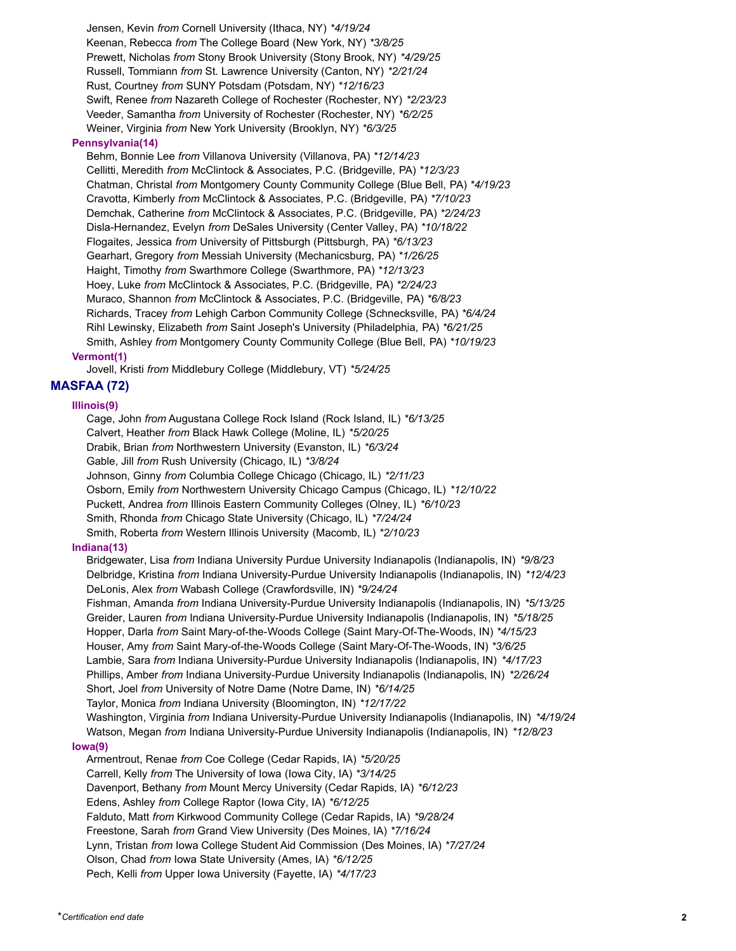Jensen, Kevin *from* Cornell University (Ithaca, NY) *\*4/19/24* Keenan, Rebecca *from* The College Board (New York, NY) *\*3/8/25* Prewett, Nicholas *from* Stony Brook University (Stony Brook, NY) *\*4/29/25* Russell, Tommiann *from* St. Lawrence University (Canton, NY) *\*2/21/24* Rust, Courtney *from* SUNY Potsdam (Potsdam, NY) *\*12/16/23* Swift, Renee *from* Nazareth College of Rochester (Rochester, NY) *\*2/23/23* Veeder, Samantha *from* University of Rochester (Rochester, NY) *\*6/2/25* Weiner, Virginia *from* New York University (Brooklyn, NY) *\*6/3/25*

#### **Pennsylvania(14)**

Behm, Bonnie Lee *from* Villanova University (Villanova, PA) *\*12/14/23* Cellitti, Meredith *from* McClintock & Associates, P.C. (Bridgeville, PA) *\*12/3/23* Chatman, Christal *from* Montgomery County Community College (Blue Bell, PA) *\*4/19/23* Cravotta, Kimberly *from* McClintock & Associates, P.C. (Bridgeville, PA) *\*7/10/23* Demchak, Catherine *from* McClintock & Associates, P.C. (Bridgeville, PA) *\*2/24/23* Disla-Hernandez, Evelyn *from* DeSales University (Center Valley, PA) *\*10/18/22* Flogaites, Jessica *from* University of Pittsburgh (Pittsburgh, PA) *\*6/13/23* Gearhart, Gregory *from* Messiah University (Mechanicsburg, PA) *\*1/26/25* Haight, Timothy *from* Swarthmore College (Swarthmore, PA) *\*12/13/23* Hoey, Luke *from* McClintock & Associates, P.C. (Bridgeville, PA) *\*2/24/23* Muraco, Shannon *from* McClintock & Associates, P.C. (Bridgeville, PA) *\*6/8/23* Richards, Tracey *from* Lehigh Carbon Community College (Schnecksville, PA) *\*6/4/24* Rihl Lewinsky, Elizabeth *from* Saint Joseph's University (Philadelphia, PA) *\*6/21/25* Smith, Ashley *from* Montgomery County Community College (Blue Bell, PA) *\*10/19/23* **Vermont(1)**

Jovell, Kristi *from* Middlebury College (Middlebury, VT) *\*5/24/25*

# **MASFAA (72)**

#### **Illinois(9)**

Cage, John *from* Augustana College Rock Island (Rock Island, IL) *\*6/13/25* Calvert, Heather *from* Black Hawk College (Moline, IL) *\*5/20/25*

Drabik, Brian *from* Northwestern University (Evanston, IL) *\*6/3/24*

Gable, Jill *from* Rush University (Chicago, IL) *\*3/8/24*

Johnson, Ginny *from* Columbia College Chicago (Chicago, IL) *\*2/11/23*

Osborn, Emily *from* Northwestern University Chicago Campus (Chicago, IL) *\*12/10/22*

Puckett, Andrea *from* Illinois Eastern Community Colleges (Olney, IL) *\*6/10/23*

Smith, Rhonda *from* Chicago State University (Chicago, IL) *\*7/24/24*

Smith, Roberta *from* Western Illinois University (Macomb, IL) *\*2/10/23*

#### **Indiana(13)**

Bridgewater, Lisa *from* Indiana University Purdue University Indianapolis (Indianapolis, IN) *\*9/8/23* Delbridge, Kristina *from* Indiana University-Purdue University Indianapolis (Indianapolis, IN) *\*12/4/23* DeLonis, Alex *from* Wabash College (Crawfordsville, IN) *\*9/24/24* Fishman, Amanda *from* Indiana University-Purdue University Indianapolis (Indianapolis, IN) *\*5/13/25* Greider, Lauren *from* Indiana University-Purdue University Indianapolis (Indianapolis, IN) *\*5/18/25* Hopper, Darla *from* Saint Mary-of-the-Woods College (Saint Mary-Of-The-Woods, IN) *\*4/15/23* Houser, Amy *from* Saint Mary-of-the-Woods College (Saint Mary-Of-The-Woods, IN) *\*3/6/25* Lambie, Sara *from* Indiana University-Purdue University Indianapolis (Indianapolis, IN) *\*4/17/23* Phillips, Amber *from* Indiana University-Purdue University Indianapolis (Indianapolis, IN) *\*2/26/24* Short, Joel *from* University of Notre Dame (Notre Dame, IN) *\*6/14/25* Taylor, Monica *from* Indiana University (Bloomington, IN) *\*12/17/22* Washington, Virginia *from* Indiana University-Purdue University Indianapolis (Indianapolis, IN) *\*4/19/24* Watson, Megan *from* Indiana University-Purdue University Indianapolis (Indianapolis, IN) *\*12/8/23* **Iowa(9)** Armentrout, Renae *from* Coe College (Cedar Rapids, IA) *\*5/20/25* Carrell, Kelly *from* The University of Iowa (Iowa City, IA) *\*3/14/25* Davenport, Bethany *from* Mount Mercy University (Cedar Rapids, IA) *\*6/12/23* Edens, Ashley *from* College Raptor (Iowa City, IA) *\*6/12/25* Falduto, Matt *from* Kirkwood Community College (Cedar Rapids, IA) *\*9/28/24* Freestone, Sarah *from* Grand View University (Des Moines, IA) *\*7/16/24* Lynn, Tristan *from* Iowa College Student Aid Commission (Des Moines, IA) *\*7/27/24*

Olson, Chad *from* Iowa State University (Ames, IA) *\*6/12/25*

Pech, Kelli *from* Upper Iowa University (Fayette, IA) *\*4/17/23*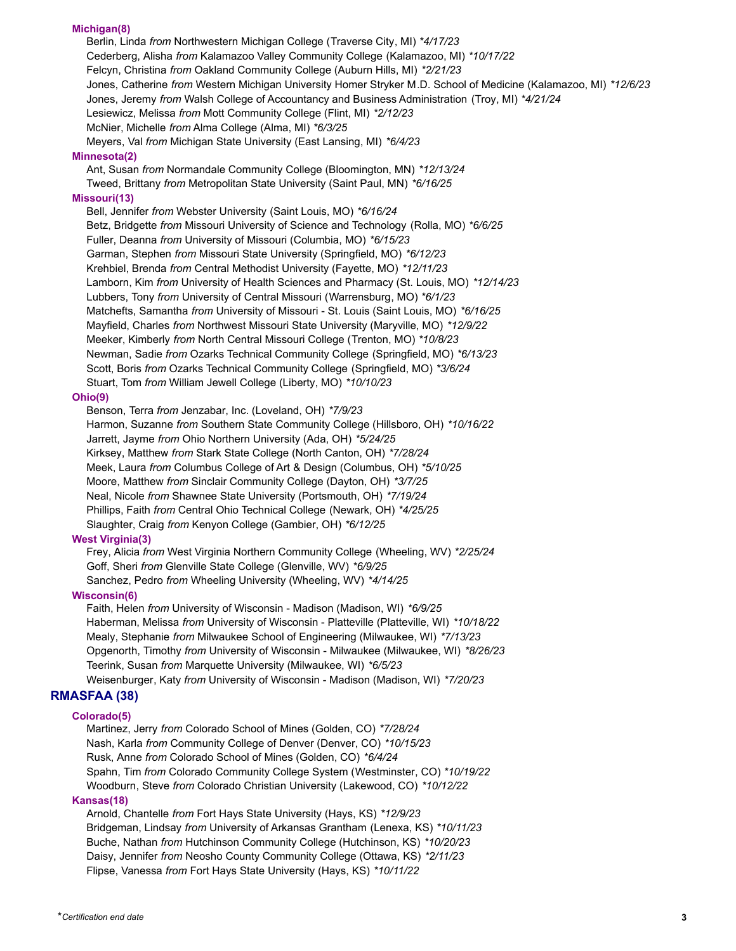#### **Michigan(8)**

Berlin, Linda *from* Northwestern Michigan College (Traverse City, MI) *\*4/17/23* Cederberg, Alisha *from* Kalamazoo Valley Community College (Kalamazoo, MI) *\*10/17/22* Felcyn, Christina *from* Oakland Community College (Auburn Hills, MI) *\*2/21/23* Jones, Catherine *from* Western Michigan University Homer Stryker M.D. School of Medicine (Kalamazoo, MI) *\*12/6/23* Jones, Jeremy *from* Walsh College of Accountancy and Business Administration (Troy, MI) *\*4/21/24* Lesiewicz, Melissa *from* Mott Community College (Flint, MI) *\*2/12/23* McNier, Michelle *from* Alma College (Alma, MI) *\*6/3/25* Meyers, Val *from* Michigan State University (East Lansing, MI) *\*6/4/23* **Minnesota(2)** Ant, Susan *from* Normandale Community College (Bloomington, MN) *\*12/13/24* Tweed, Brittany *from* Metropolitan State University (Saint Paul, MN) *\*6/16/25* **Missouri(13)** Bell, Jennifer *from* Webster University (Saint Louis, MO) *\*6/16/24* Betz, Bridgette *from* Missouri University of Science and Technology (Rolla, MO) *\*6/6/25* Fuller, Deanna *from* University of Missouri (Columbia, MO) *\*6/15/23* Garman, Stephen *from* Missouri State University (Springfield, MO) *\*6/12/23* Krehbiel, Brenda *from* Central Methodist University (Fayette, MO) *\*12/11/23* Lamborn, Kim *from* University of Health Sciences and Pharmacy (St. Louis, MO) *\*12/14/23* Lubbers, Tony *from* University of Central Missouri (Warrensburg, MO) *\*6/1/23* Matchefts, Samantha *from* University of Missouri - St. Louis (Saint Louis, MO) *\*6/16/25* Mayfield, Charles *from* Northwest Missouri State University (Maryville, MO) *\*12/9/22* Meeker, Kimberly *from* North Central Missouri College (Trenton, MO) *\*10/8/23* Newman, Sadie *from* Ozarks Technical Community College (Springfield, MO) *\*6/13/23* Scott, Boris *from* Ozarks Technical Community College (Springfield, MO) *\*3/6/24*

Stuart, Tom *from* William Jewell College (Liberty, MO) *\*10/10/23*

#### **Ohio(9)**

Benson, Terra *from* Jenzabar, Inc. (Loveland, OH) *\*7/9/23* Harmon, Suzanne *from* Southern State Community College (Hillsboro, OH) *\*10/16/22* Jarrett, Jayme *from* Ohio Northern University (Ada, OH) *\*5/24/25* Kirksey, Matthew *from* Stark State College (North Canton, OH) *\*7/28/24* Meek, Laura *from* Columbus College of Art & Design (Columbus, OH) *\*5/10/25* Moore, Matthew *from* Sinclair Community College (Dayton, OH) *\*3/7/25* Neal, Nicole *from* Shawnee State University (Portsmouth, OH) *\*7/19/24* Phillips, Faith *from* Central Ohio Technical College (Newark, OH) *\*4/25/25* Slaughter, Craig *from* Kenyon College (Gambier, OH) *\*6/12/25*

#### **West Virginia(3)**

Frey, Alicia *from* West Virginia Northern Community College (Wheeling, WV) *\*2/25/24* Goff, Sheri *from* Glenville State College (Glenville, WV) *\*6/9/25* Sanchez, Pedro *from* Wheeling University (Wheeling, WV) *\*4/14/25*

## **Wisconsin(6)**

Faith, Helen *from* University of Wisconsin - Madison (Madison, WI) *\*6/9/25* Haberman, Melissa *from* University of Wisconsin - Platteville (Platteville, WI) *\*10/18/22* Mealy, Stephanie *from* Milwaukee School of Engineering (Milwaukee, WI) *\*7/13/23* Opgenorth, Timothy *from* University of Wisconsin - Milwaukee (Milwaukee, WI) *\*8/26/23* Teerink, Susan *from* Marquette University (Milwaukee, WI) *\*6/5/23* Weisenburger, Katy *from* University of Wisconsin - Madison (Madison, WI) *\*7/20/23*

# **RMASFAA (38)**

#### **Colorado(5)**

Martinez, Jerry *from* Colorado School of Mines (Golden, CO) *\*7/28/24* Nash, Karla *from* Community College of Denver (Denver, CO) *\*10/15/23* Rusk, Anne *from* Colorado School of Mines (Golden, CO) *\*6/4/24* Spahn, Tim *from* Colorado Community College System (Westminster, CO) *\*10/19/22* Woodburn, Steve *from* Colorado Christian University (Lakewood, CO) *\*10/12/22*

#### **Kansas(18)**

Arnold, Chantelle *from* Fort Hays State University (Hays, KS) *\*12/9/23* Bridgeman, Lindsay *from* University of Arkansas Grantham (Lenexa, KS) *\*10/11/23* Buche, Nathan *from* Hutchinson Community College (Hutchinson, KS) *\*10/20/23* Daisy, Jennifer *from* Neosho County Community College (Ottawa, KS) *\*2/11/23* Flipse, Vanessa *from* Fort Hays State University (Hays, KS) *\*10/11/22*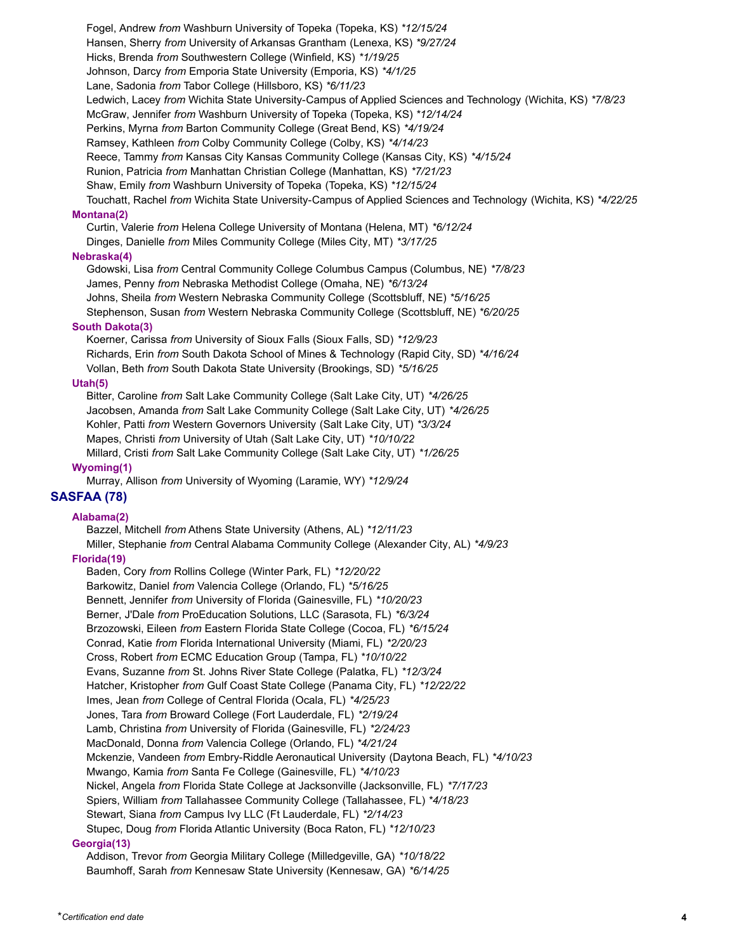Fogel, Andrew *from* Washburn University of Topeka (Topeka, KS) *\*12/15/24* Hansen, Sherry *from* University of Arkansas Grantham (Lenexa, KS) *\*9/27/24* Hicks, Brenda *from* Southwestern College (Winfield, KS) *\*1/19/25* Johnson, Darcy *from* Emporia State University (Emporia, KS) *\*4/1/25* Lane, Sadonia *from* Tabor College (Hillsboro, KS) *\*6/11/23* Ledwich, Lacey *from* Wichita State University-Campus of Applied Sciences and Technology (Wichita, KS) *\*7/8/23* McGraw, Jennifer *from* Washburn University of Topeka (Topeka, KS) *\*12/14/24* Perkins, Myrna *from* Barton Community College (Great Bend, KS) *\*4/19/24* Ramsey, Kathleen *from* Colby Community College (Colby, KS) *\*4/14/23* Reece, Tammy *from* Kansas City Kansas Community College (Kansas City, KS) *\*4/15/24* Runion, Patricia *from* Manhattan Christian College (Manhattan, KS) *\*7/21/23* Shaw, Emily *from* Washburn University of Topeka (Topeka, KS) *\*12/15/24* Touchatt, Rachel *from* Wichita State University-Campus of Applied Sciences and Technology (Wichita, KS) *\*4/22/25* **Montana(2)** Curtin, Valerie *from* Helena College University of Montana (Helena, MT) *\*6/12/24* Dinges, Danielle *from* Miles Community College (Miles City, MT) *\*3/17/25* **Nebraska(4)** Gdowski, Lisa *from* Central Community College Columbus Campus (Columbus, NE) *\*7/8/23* James, Penny *from* Nebraska Methodist College (Omaha, NE) *\*6/13/24* Johns, Sheila *from* Western Nebraska Community College (Scottsbluff, NE) *\*5/16/25* Stephenson, Susan *from* Western Nebraska Community College (Scottsbluff, NE) *\*6/20/25* **South Dakota(3)** Koerner, Carissa *from* University of Sioux Falls (Sioux Falls, SD) *\*12/9/23* Richards, Erin *from* South Dakota School of Mines & Technology (Rapid City, SD) *\*4/16/24* Vollan, Beth *from* South Dakota State University (Brookings, SD) *\*5/16/25* **Utah(5)** Bitter, Caroline *from* Salt Lake Community College (Salt Lake City, UT) *\*4/26/25* Jacobsen, Amanda *from* Salt Lake Community College (Salt Lake City, UT) *\*4/26/25* Kohler, Patti *from* Western Governors University (Salt Lake City, UT) *\*3/3/24* Mapes, Christi *from* University of Utah (Salt Lake City, UT) *\*10/10/22* Millard, Cristi *from* Salt Lake Community College (Salt Lake City, UT) *\*1/26/25* **Wyoming(1)** Murray, Allison *from* University of Wyoming (Laramie, WY) *\*12/9/24* **SASFAA (78) Alabama(2)** Bazzel, Mitchell *from* Athens State University (Athens, AL) *\*12/11/23* Miller, Stephanie *from* Central Alabama Community College (Alexander City, AL) *\*4/9/23* **Florida(19)** Baden, Cory *from* Rollins College (Winter Park, FL) *\*12/20/22* Barkowitz, Daniel *from* Valencia College (Orlando, FL) *\*5/16/25*

Bennett, Jennifer *from* University of Florida (Gainesville, FL) *\*10/20/23* Berner, J'Dale *from* ProEducation Solutions, LLC (Sarasota, FL) *\*6/3/24* Brzozowski, Eileen *from* Eastern Florida State College (Cocoa, FL) *\*6/15/24* Conrad, Katie *from* Florida International University (Miami, FL) *\*2/20/23* Cross, Robert *from* ECMC Education Group (Tampa, FL) *\*10/10/22* Evans, Suzanne *from* St. Johns River State College (Palatka, FL) *\*12/3/24* Hatcher, Kristopher *from* Gulf Coast State College (Panama City, FL) *\*12/22/22* Imes, Jean *from* College of Central Florida (Ocala, FL) *\*4/25/23* Jones, Tara *from* Broward College (Fort Lauderdale, FL) *\*2/19/24* Lamb, Christina *from* University of Florida (Gainesville, FL) *\*2/24/23* MacDonald, Donna *from* Valencia College (Orlando, FL) *\*4/21/24* Mckenzie, Vandeen *from* Embry-Riddle Aeronautical University (Daytona Beach, FL) *\*4/10/23* Mwango, Kamia *from* Santa Fe College (Gainesville, FL) *\*4/10/23* Nickel, Angela *from* Florida State College at Jacksonville (Jacksonville, FL) *\*7/17/23* Spiers, William *from* Tallahassee Community College (Tallahassee, FL) *\*4/18/23* Stewart, Siana *from* Campus Ivy LLC (Ft Lauderdale, FL) *\*2/14/23* Stupec, Doug *from* Florida Atlantic University (Boca Raton, FL) *\*12/10/23* **Georgia(13)** Addison, Trevor *from* Georgia Military College (Milledgeville, GA) *\*10/18/22*

Baumhoff, Sarah *from* Kennesaw State University (Kennesaw, GA) *\*6/14/25*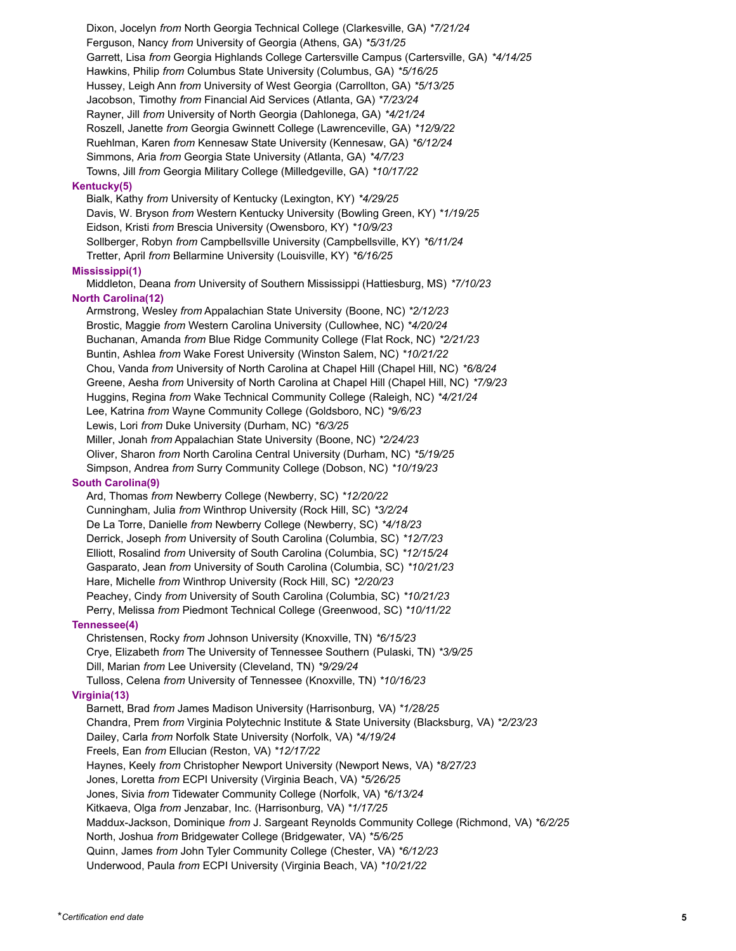Dixon, Jocelyn *from* North Georgia Technical College (Clarkesville, GA) *\*7/21/24* Ferguson, Nancy *from* University of Georgia (Athens, GA) *\*5/31/25* Garrett, Lisa *from* Georgia Highlands College Cartersville Campus (Cartersville, GA) *\*4/14/25* Hawkins, Philip *from* Columbus State University (Columbus, GA) *\*5/16/25* Hussey, Leigh Ann *from* University of West Georgia (Carrollton, GA) *\*5/13/25* Jacobson, Timothy *from* Financial Aid Services (Atlanta, GA) *\*7/23/24* Rayner, Jill *from* University of North Georgia (Dahlonega, GA) *\*4/21/24* Roszell, Janette *from* Georgia Gwinnett College (Lawrenceville, GA) *\*12/9/22* Ruehlman, Karen *from* Kennesaw State University (Kennesaw, GA) *\*6/12/24* Simmons, Aria *from* Georgia State University (Atlanta, GA) *\*4/7/23* Towns, Jill *from* Georgia Military College (Milledgeville, GA) *\*10/17/22* **Kentucky(5)** Bialk, Kathy *from* University of Kentucky (Lexington, KY) *\*4/29/25* Davis, W. Bryson *from* Western Kentucky University (Bowling Green, KY) *\*1/19/25* Eidson, Kristi *from* Brescia University (Owensboro, KY) *\*10/9/23* Sollberger, Robyn *from* Campbellsville University (Campbellsville, KY) *\*6/11/24* Tretter, April *from* Bellarmine University (Louisville, KY) *\*6/16/25* **Mississippi(1)** Middleton, Deana *from* University of Southern Mississippi (Hattiesburg, MS) *\*7/10/23* **North Carolina(12)** Armstrong, Wesley *from* Appalachian State University (Boone, NC) *\*2/12/23* Brostic, Maggie *from* Western Carolina University (Cullowhee, NC) *\*4/20/24* Buchanan, Amanda *from* Blue Ridge Community College (Flat Rock, NC) *\*2/21/23* Buntin, Ashlea *from* Wake Forest University (Winston Salem, NC) *\*10/21/22* Chou, Vanda *from* University of North Carolina at Chapel Hill (Chapel Hill, NC) *\*6/8/24* Greene, Aesha *from* University of North Carolina at Chapel Hill (Chapel Hill, NC) *\*7/9/23* Huggins, Regina *from* Wake Technical Community College (Raleigh, NC) *\*4/21/24* Lee, Katrina *from* Wayne Community College (Goldsboro, NC) *\*9/6/23* Lewis, Lori *from* Duke University (Durham, NC) *\*6/3/25* Miller, Jonah *from* Appalachian State University (Boone, NC) *\*2/24/23* Oliver, Sharon *from* North Carolina Central University (Durham, NC) *\*5/19/25* Simpson, Andrea *from* Surry Community College (Dobson, NC) *\*10/19/23* **South Carolina(9)** Ard, Thomas *from* Newberry College (Newberry, SC) *\*12/20/22* Cunningham, Julia *from* Winthrop University (Rock Hill, SC) *\*3/2/24* De La Torre, Danielle *from* Newberry College (Newberry, SC) *\*4/18/23* Derrick, Joseph *from* University of South Carolina (Columbia, SC) *\*12/7/23* Elliott, Rosalind *from* University of South Carolina (Columbia, SC) *\*12/15/24* Gasparato, Jean *from* University of South Carolina (Columbia, SC) *\*10/21/23* Hare, Michelle *from* Winthrop University (Rock Hill, SC) *\*2/20/23* Peachey, Cindy *from* University of South Carolina (Columbia, SC) *\*10/21/23* Perry, Melissa *from* Piedmont Technical College (Greenwood, SC) *\*10/11/22* **Tennessee(4)** Christensen, Rocky *from* Johnson University (Knoxville, TN) *\*6/15/23* Crye, Elizabeth *from* The University of Tennessee Southern (Pulaski, TN) *\*3/9/25* Dill, Marian *from* Lee University (Cleveland, TN) *\*9/29/24* Tulloss, Celena *from* University of Tennessee (Knoxville, TN) *\*10/16/23* **Virginia(13)** Barnett, Brad *from* James Madison University (Harrisonburg, VA) *\*1/28/25* Chandra, Prem *from* Virginia Polytechnic Institute & State University (Blacksburg, VA) *\*2/23/23* Dailey, Carla *from* Norfolk State University (Norfolk, VA) *\*4/19/24* Freels, Ean *from* Ellucian (Reston, VA) *\*12/17/22* Haynes, Keely *from* Christopher Newport University (Newport News, VA) *\*8/27/23* Jones, Loretta *from* ECPI University (Virginia Beach, VA) *\*5/26/25* Jones, Sivia *from* Tidewater Community College (Norfolk, VA) *\*6/13/24* Kitkaeva, Olga *from* Jenzabar, Inc. (Harrisonburg, VA) *\*1/17/25* Maddux-Jackson, Dominique *from* J. Sargeant Reynolds Community College (Richmond, VA) *\*6/2/25* North, Joshua *from* Bridgewater College (Bridgewater, VA) *\*5/6/25* Quinn, James *from* John Tyler Community College (Chester, VA) *\*6/12/23* Underwood, Paula *from* ECPI University (Virginia Beach, VA) *\*10/21/22*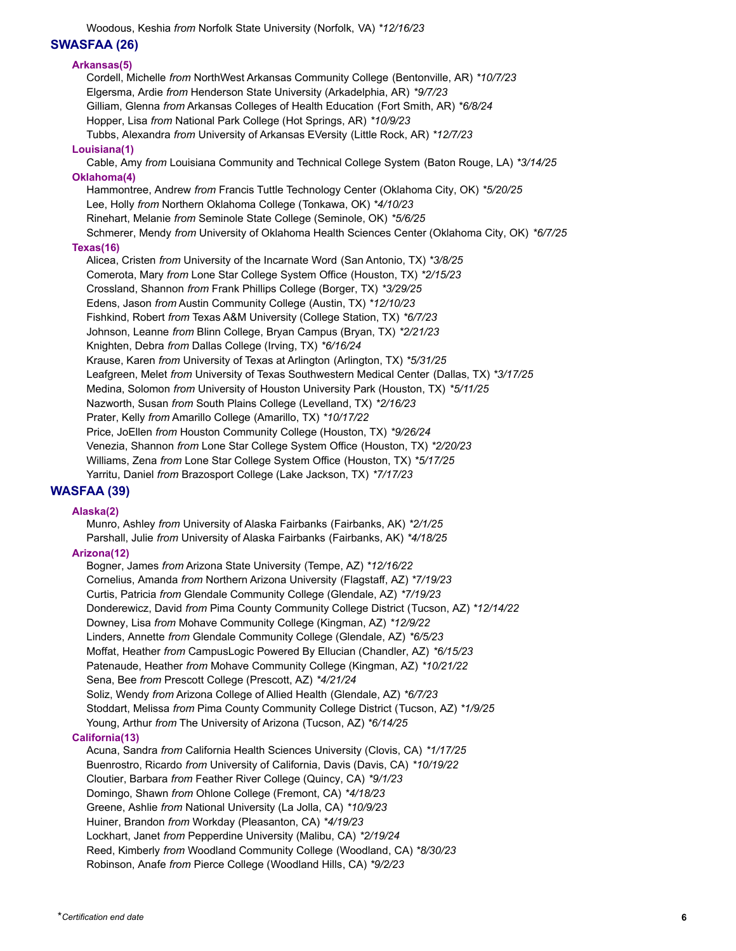Woodous, Keshia *from* Norfolk State University (Norfolk, VA) *\*12/16/23*

# **SWASFAA (26)**

# **Arkansas(5)**

Cordell, Michelle *from* NorthWest Arkansas Community College (Bentonville, AR) *\*10/7/23* Elgersma, Ardie *from* Henderson State University (Arkadelphia, AR) *\*9/7/23* Gilliam, Glenna *from* Arkansas Colleges of Health Education (Fort Smith, AR) *\*6/8/24* Hopper, Lisa *from* National Park College (Hot Springs, AR) *\*10/9/23* Tubbs, Alexandra *from* University of Arkansas EVersity (Little Rock, AR) *\*12/7/23* **Louisiana(1)** Cable, Amy *from* Louisiana Community and Technical College System (Baton Rouge, LA) *\*3/14/25* **Oklahoma(4)** Hammontree, Andrew *from* Francis Tuttle Technology Center (Oklahoma City, OK) *\*5/20/25* Lee, Holly *from* Northern Oklahoma College (Tonkawa, OK) *\*4/10/23* Rinehart, Melanie *from* Seminole State College (Seminole, OK) *\*5/6/25* Schmerer, Mendy *from* University of Oklahoma Health Sciences Center (Oklahoma City, OK) *\*6/7/25* **Texas(16)** Alicea, Cristen *from* University of the Incarnate Word (San Antonio, TX) *\*3/8/25* Comerota, Mary *from* Lone Star College System Office (Houston, TX) *\*2/15/23* Crossland, Shannon *from* Frank Phillips College (Borger, TX) *\*3/29/25* Edens, Jason *from* Austin Community College (Austin, TX) *\*12/10/23* Fishkind, Robert *from* Texas A&M University (College Station, TX) *\*6/7/23* Johnson, Leanne *from* Blinn College, Bryan Campus (Bryan, TX) *\*2/21/23* Knighten, Debra *from* Dallas College (Irving, TX) *\*6/16/24* Krause, Karen *from* University of Texas at Arlington (Arlington, TX) *\*5/31/25* Leafgreen, Melet *from* University of Texas Southwestern Medical Center (Dallas, TX) *\*3/17/25* Medina, Solomon *from* University of Houston University Park (Houston, TX) *\*5/11/25* Nazworth, Susan *from* South Plains College (Levelland, TX) *\*2/16/23* Prater, Kelly *from* Amarillo College (Amarillo, TX) *\*10/17/22* Price, JoEllen *from* Houston Community College (Houston, TX) *\*9/26/24* Venezia, Shannon *from* Lone Star College System Office (Houston, TX) *\*2/20/23* Williams, Zena *from* Lone Star College System Office (Houston, TX) *\*5/17/25* Yarritu, Daniel *from* Brazosport College (Lake Jackson, TX) *\*7/17/23*

# **WASFAA (39)**

#### **Alaska(2)**

Munro, Ashley *from* University of Alaska Fairbanks (Fairbanks, AK) *\*2/1/25* Parshall, Julie *from* University of Alaska Fairbanks (Fairbanks, AK) *\*4/18/25* **Arizona(12)** Bogner, James *from* Arizona State University (Tempe, AZ) *\*12/16/22* Cornelius, Amanda *from* Northern Arizona University (Flagstaff, AZ) *\*7/19/23* Curtis, Patricia *from* Glendale Community College (Glendale, AZ) *\*7/19/23* Donderewicz, David *from* Pima County Community College District (Tucson, AZ) *\*12/14/22* Downey, Lisa *from* Mohave Community College (Kingman, AZ) *\*12/9/22* Linders, Annette *from* Glendale Community College (Glendale, AZ) *\*6/5/23* Moffat, Heather *from* CampusLogic Powered By Ellucian (Chandler, AZ) *\*6/15/23* Patenaude, Heather *from* Mohave Community College (Kingman, AZ) *\*10/21/22* Sena, Bee *from* Prescott College (Prescott, AZ) *\*4/21/24* Soliz, Wendy *from* Arizona College of Allied Health (Glendale, AZ) *\*6/7/23* Stoddart, Melissa *from* Pima County Community College District (Tucson, AZ) *\*1/9/25* Young, Arthur *from* The University of Arizona (Tucson, AZ) *\*6/14/25* **California(13)** Acuna, Sandra *from* California Health Sciences University (Clovis, CA) *\*1/17/25*

Buenrostro, Ricardo *from* University of California, Davis (Davis, CA) *\*10/19/22* Cloutier, Barbara *from* Feather River College (Quincy, CA) *\*9/1/23* Domingo, Shawn *from* Ohlone College (Fremont, CA) *\*4/18/23* Greene, Ashlie *from* National University (La Jolla, CA) *\*10/9/23* Huiner, Brandon *from* Workday (Pleasanton, CA) *\*4/19/23* Lockhart, Janet *from* Pepperdine University (Malibu, CA) *\*2/19/24* Reed, Kimberly *from* Woodland Community College (Woodland, CA) *\*8/30/23* Robinson, Anafe *from* Pierce College (Woodland Hills, CA) *\*9/2/23*